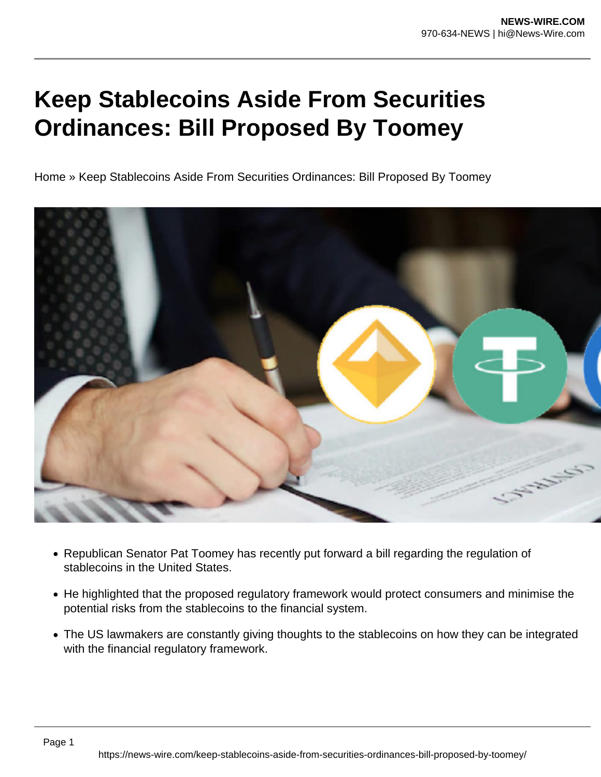## **Keep Stablecoins Aside From Securities Ordinances: Bill Proposed By Toomey**

Home » Keep Stablecoins Aside From Securities Ordinances: Bill Proposed By Toomey



- Republican Senator Pat Toomey has recently put forward a bill regarding the regulation of stablecoins in the United States.
- He highlighted that the proposed regulatory framework would protect consumers and minimise the potential risks from the stablecoins to the financial system.
- The US lawmakers are constantly giving thoughts to the stablecoins on how they can be integrated with the financial regulatory framework.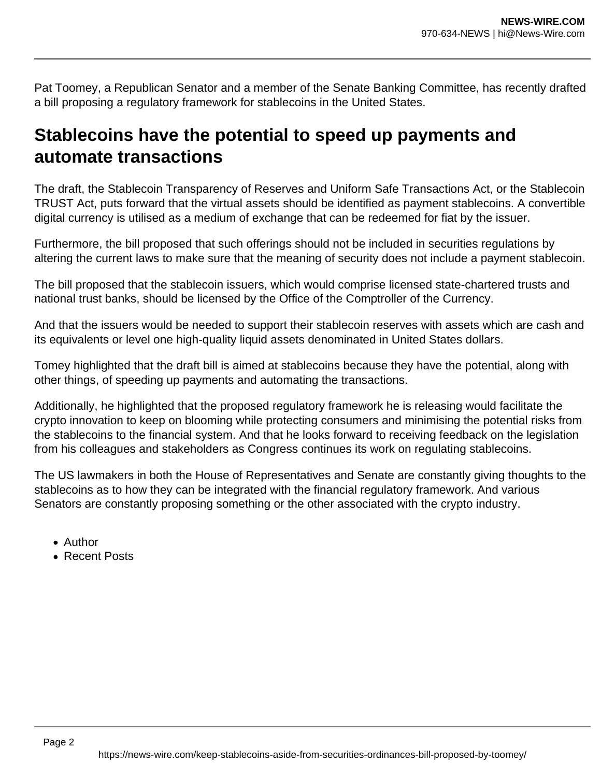Pat Toomey, a Republican Senator and a member of the Senate Banking Committee, has recently drafted a bill proposing a regulatory framework for stablecoins in the United States.

## **Stablecoins have the potential to speed up payments and automate transactions**

The draft, the Stablecoin Transparency of Reserves and Uniform Safe Transactions Act, or the Stablecoin TRUST Act, puts forward that the virtual assets should be identified as payment stablecoins. A convertible digital currency is utilised as a medium of exchange that can be redeemed for fiat by the issuer.

Furthermore, the bill proposed that such offerings should not be included in securities regulations by altering the current laws to make sure that the meaning of security does not include a payment stablecoin.

The bill proposed that the stablecoin issuers, which would comprise licensed state-chartered trusts and national trust banks, should be licensed by the Office of the Comptroller of the Currency.

And that the issuers would be needed to support their stablecoin reserves with assets which are cash and its equivalents or level one high-quality liquid assets denominated in United States dollars.

Tomey highlighted that the draft bill is aimed at stablecoins because they have the potential, along with other things, of speeding up payments and automating the transactions.

Additionally, he highlighted that the proposed regulatory framework he is releasing would facilitate the crypto innovation to keep on blooming while protecting consumers and minimising the potential risks from the stablecoins to the financial system. And that he looks forward to receiving feedback on the legislation from his colleagues and stakeholders as Congress continues its work on regulating stablecoins.

The US lawmakers in both the House of Representatives and Senate are constantly giving thoughts to the stablecoins as to how they can be integrated with the financial regulatory framework. And various Senators are constantly proposing something or the other associated with the crypto industry.

- Author
- Recent Posts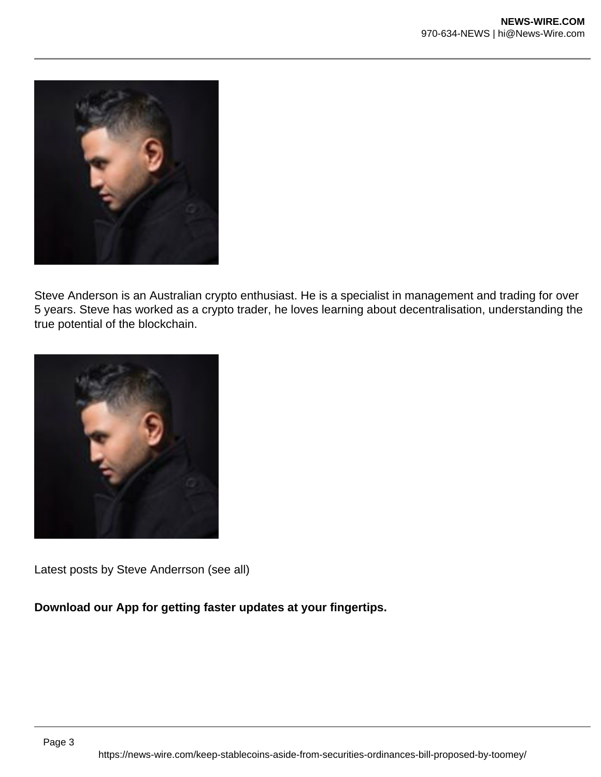

Steve Anderson is an Australian crypto enthusiast. He is a specialist in management and trading for over 5 years. Steve has worked as a crypto trader, he loves learning about decentralisation, understanding the true potential of the blockchain.



Latest posts by Steve Anderrson (see all)

**Download our App for getting faster updates at your fingertips.**